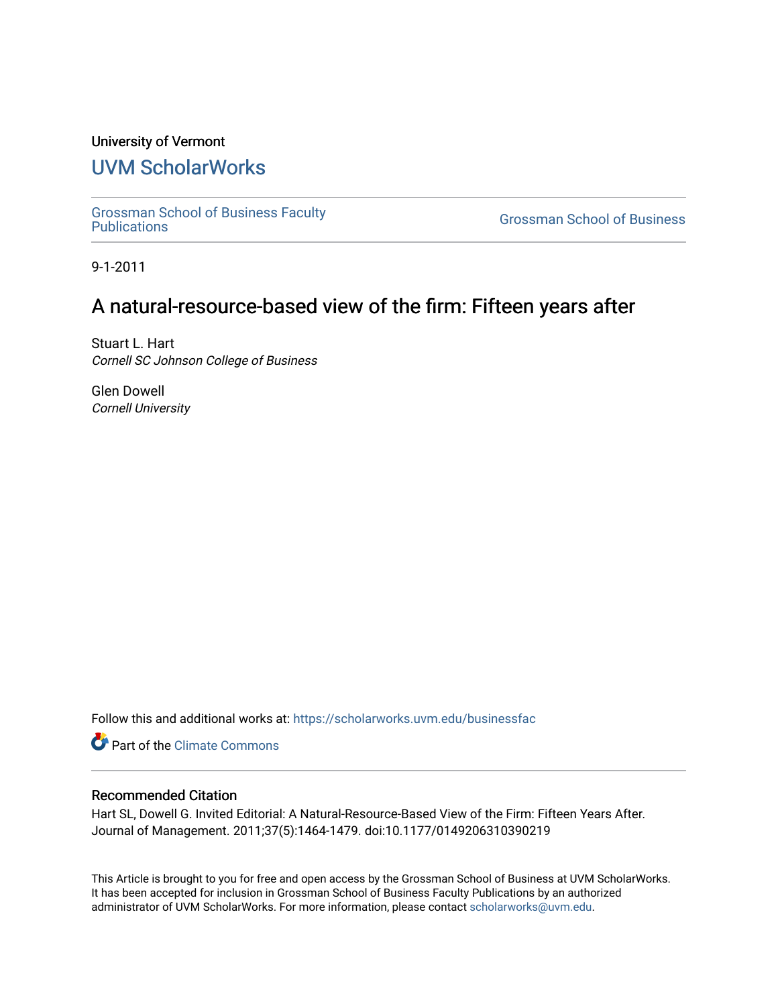## University of Vermont

## [UVM ScholarWorks](https://scholarworks.uvm.edu/)

[Grossman School of Business Faculty](https://scholarworks.uvm.edu/businessfac) 

**Grossman School of Business** 

9-1-2011

## A natural-resource-based view of the firm: Fifteen years after

Stuart L. Hart Cornell SC Johnson College of Business

Glen Dowell Cornell University

Follow this and additional works at: [https://scholarworks.uvm.edu/businessfac](https://scholarworks.uvm.edu/businessfac?utm_source=scholarworks.uvm.edu%2Fbusinessfac%2F1&utm_medium=PDF&utm_campaign=PDFCoverPages) 

**C** Part of the Climate Commons

### Recommended Citation

Hart SL, Dowell G. Invited Editorial: A Natural-Resource-Based View of the Firm: Fifteen Years After. Journal of Management. 2011;37(5):1464-1479. doi:10.1177/0149206310390219

This Article is brought to you for free and open access by the Grossman School of Business at UVM ScholarWorks. It has been accepted for inclusion in Grossman School of Business Faculty Publications by an authorized administrator of UVM ScholarWorks. For more information, please contact [scholarworks@uvm.edu](mailto:scholarworks@uvm.edu).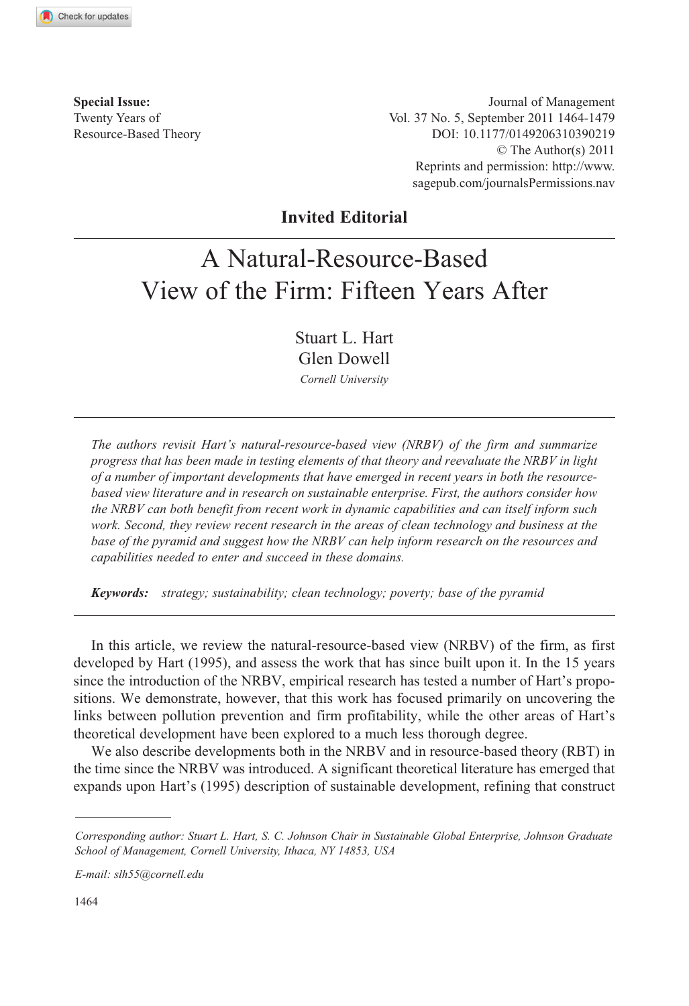**Special Issue:** Twenty Years of Resource-Based Theory

Journal of Management Vol. 37 No. 5, September 2011 1464-1479 DOI: 10.1177/0149206310390219 © The Author(s) 2011 Reprints and permission: http://www. sagepub.com/journalsPermissions.nav

### **Invited Editorial**

# A Natural-Resource-Based View of the Firm: Fifteen Years After

Stuart L. Hart Glen Dowell *Cornell University*

*The authors revisit Hart's natural-resource-based view (NRBV) of the firm and summarize progress that has been made in testing elements of that theory and reevaluate the NRBV in light of a number of important developments that have emerged in recent years in both the resourcebased view literature and in research on sustainable enterprise. First, the authors consider how the NRBV can both benefit from recent work in dynamic capabilities and can itself inform such work. Second, they review recent research in the areas of clean technology and business at the base of the pyramid and suggest how the NRBV can help inform research on the resources and capabilities needed to enter and succeed in these domains.*

*Keywords: strategy; sustainability; clean technology; poverty; base of the pyramid*

In this article, we review the natural-resource-based view (NRBV) of the firm, as first developed by Hart (1995), and assess the work that has since built upon it. In the 15 years since the introduction of the NRBV, empirical research has tested a number of Hart's propositions. We demonstrate, however, that this work has focused primarily on uncovering the links between pollution prevention and firm profitability, while the other areas of Hart's theoretical development have been explored to a much less thorough degree.

We also describe developments both in the NRBV and in resource-based theory (RBT) in the time since the NRBV was introduced. A significant theoretical literature has emerged that expands upon Hart's (1995) description of sustainable development, refining that construct

*Corresponding author: Stuart L. Hart, S. C. Johnson Chair in Sustainable Global Enterprise, Johnson Graduate School of Management, Cornell University, Ithaca, NY 14853, USA*

*E-mail: slh55@cornell.edu*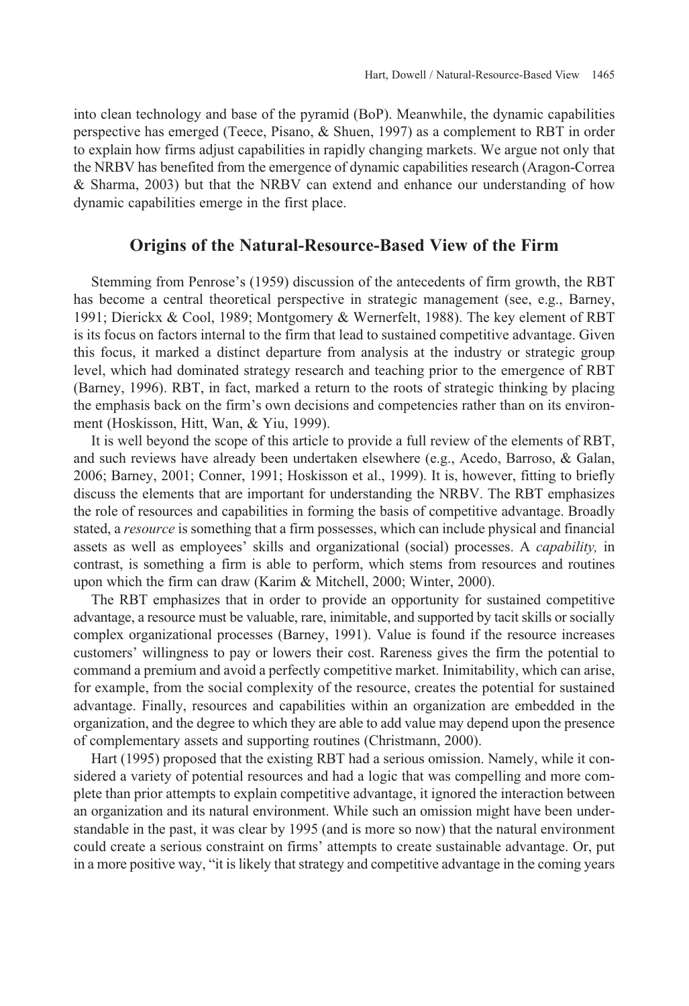into clean technology and base of the pyramid (BoP). Meanwhile, the dynamic capabilities perspective has emerged (Teece, Pisano, & Shuen, 1997) as a complement to RBT in order to explain how firms adjust capabilities in rapidly changing markets. We argue not only that the NRBV has benefited from the emergence of dynamic capabilities research (Aragon-Correa & Sharma, 2003) but that the NRBV can extend and enhance our understanding of how dynamic capabilities emerge in the first place.

#### **Origins of the Natural-Resource-Based View of the Firm**

Stemming from Penrose's (1959) discussion of the antecedents of firm growth, the RBT has become a central theoretical perspective in strategic management (see, e.g., Barney, 1991; Dierickx & Cool, 1989; Montgomery & Wernerfelt, 1988). The key element of RBT is its focus on factors internal to the firm that lead to sustained competitive advantage. Given this focus, it marked a distinct departure from analysis at the industry or strategic group level, which had dominated strategy research and teaching prior to the emergence of RBT (Barney, 1996). RBT, in fact, marked a return to the roots of strategic thinking by placing the emphasis back on the firm's own decisions and competencies rather than on its environment (Hoskisson, Hitt, Wan, & Yiu, 1999).

It is well beyond the scope of this article to provide a full review of the elements of RBT, and such reviews have already been undertaken elsewhere (e.g., Acedo, Barroso, & Galan, 2006; Barney, 2001; Conner, 1991; Hoskisson et al., 1999). It is, however, fitting to briefly discuss the elements that are important for understanding the NRBV. The RBT emphasizes the role of resources and capabilities in forming the basis of competitive advantage. Broadly stated, a *resource* is something that a firm possesses, which can include physical and financial assets as well as employees' skills and organizational (social) processes. A *capability,* in contrast, is something a firm is able to perform, which stems from resources and routines upon which the firm can draw (Karim & Mitchell, 2000; Winter, 2000).

The RBT emphasizes that in order to provide an opportunity for sustained competitive advantage, a resource must be valuable, rare, inimitable, and supported by tacit skills or socially complex organizational processes (Barney, 1991). Value is found if the resource increases customers' willingness to pay or lowers their cost. Rareness gives the firm the potential to command a premium and avoid a perfectly competitive market. Inimitability, which can arise, for example, from the social complexity of the resource, creates the potential for sustained advantage. Finally, resources and capabilities within an organization are embedded in the organization, and the degree to which they are able to add value may depend upon the presence of complementary assets and supporting routines (Christmann, 2000).

Hart (1995) proposed that the existing RBT had a serious omission. Namely, while it considered a variety of potential resources and had a logic that was compelling and more complete than prior attempts to explain competitive advantage, it ignored the interaction between an organization and its natural environment. While such an omission might have been understandable in the past, it was clear by 1995 (and is more so now) that the natural environment could create a serious constraint on firms' attempts to create sustainable advantage. Or, put in a more positive way, "it is likely that strategy and competitive advantage in the coming years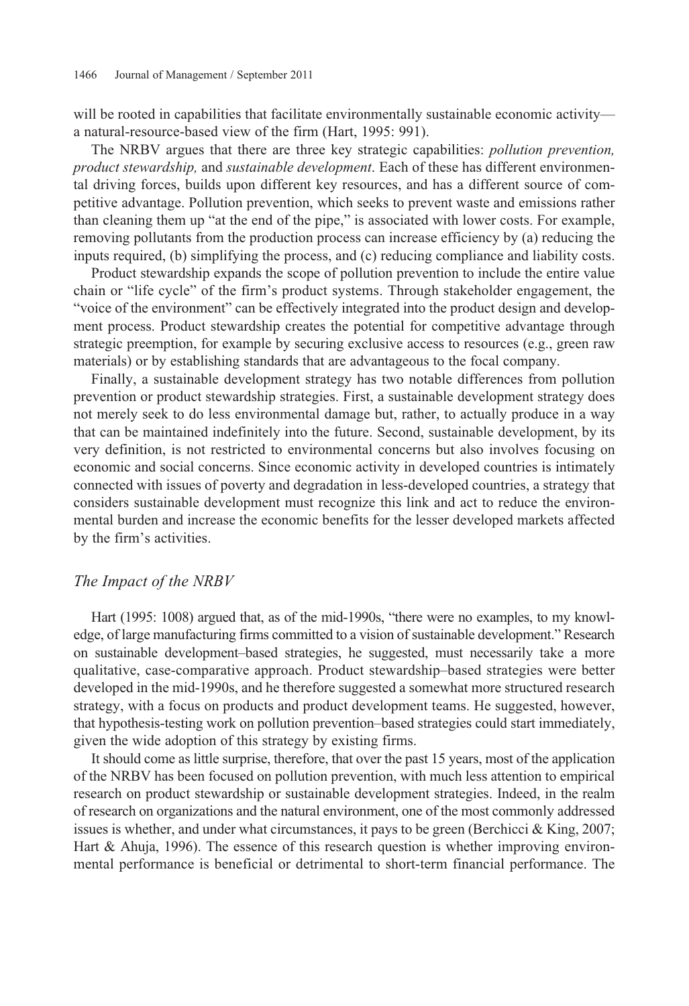will be rooted in capabilities that facilitate environmentally sustainable economic activity a natural-resource-based view of the firm (Hart, 1995: 991).

The NRBV argues that there are three key strategic capabilities: *pollution prevention, product stewardship,* and *sustainable development*. Each of these has different environmental driving forces, builds upon different key resources, and has a different source of competitive advantage. Pollution prevention, which seeks to prevent waste and emissions rather than cleaning them up "at the end of the pipe," is associated with lower costs. For example, removing pollutants from the production process can increase efficiency by (a) reducing the inputs required, (b) simplifying the process, and (c) reducing compliance and liability costs.

Product stewardship expands the scope of pollution prevention to include the entire value chain or "life cycle" of the firm's product systems. Through stakeholder engagement, the "voice of the environment" can be effectively integrated into the product design and development process. Product stewardship creates the potential for competitive advantage through strategic preemption, for example by securing exclusive access to resources (e.g., green raw materials) or by establishing standards that are advantageous to the focal company.

Finally, a sustainable development strategy has two notable differences from pollution prevention or product stewardship strategies. First, a sustainable development strategy does not merely seek to do less environmental damage but, rather, to actually produce in a way that can be maintained indefinitely into the future. Second, sustainable development, by its very definition, is not restricted to environmental concerns but also involves focusing on economic and social concerns. Since economic activity in developed countries is intimately connected with issues of poverty and degradation in less-developed countries, a strategy that considers sustainable development must recognize this link and act to reduce the environmental burden and increase the economic benefits for the lesser developed markets affected by the firm's activities.

#### *The Impact of the NRBV*

Hart (1995: 1008) argued that, as of the mid-1990s, "there were no examples, to my knowledge, of large manufacturing firms committed to a vision of sustainable development." Research on sustainable development–based strategies, he suggested, must necessarily take a more qualitative, case-comparative approach. Product stewardship–based strategies were better developed in the mid-1990s, and he therefore suggested a somewhat more structured research strategy, with a focus on products and product development teams. He suggested, however, that hypothesis-testing work on pollution prevention–based strategies could start immediately, given the wide adoption of this strategy by existing firms.

It should come as little surprise, therefore, that over the past 15 years, most of the application of the NRBV has been focused on pollution prevention, with much less attention to empirical research on product stewardship or sustainable development strategies. Indeed, in the realm of research on organizations and the natural environment, one of the most commonly addressed issues is whether, and under what circumstances, it pays to be green (Berchicci  $\&$  King, 2007; Hart & Ahuja, 1996). The essence of this research question is whether improving environmental performance is beneficial or detrimental to short-term financial performance. The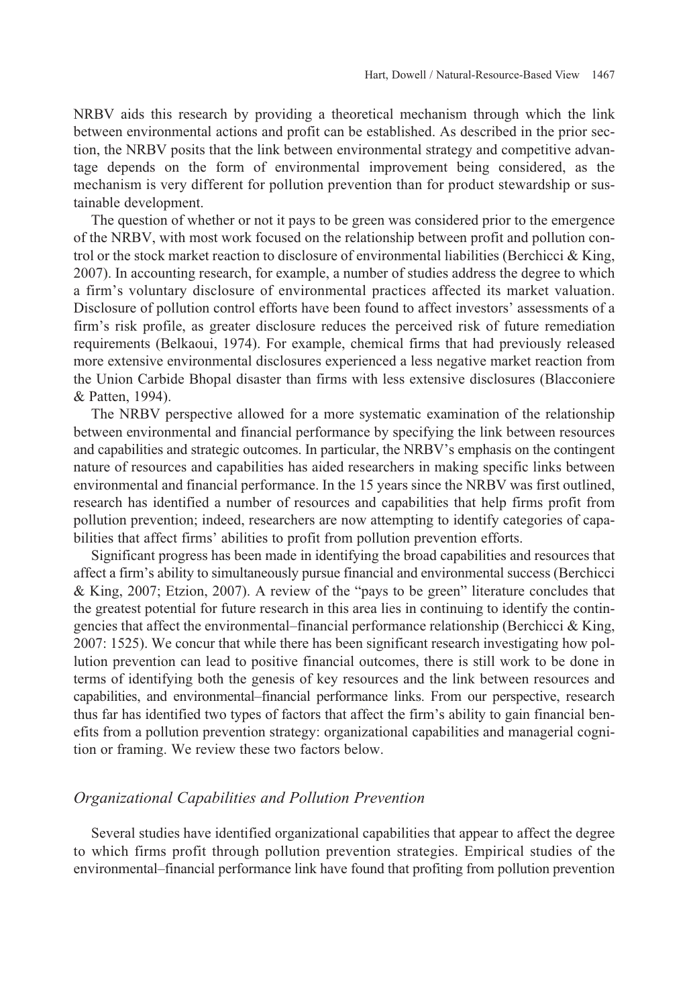NRBV aids this research by providing a theoretical mechanism through which the link between environmental actions and profit can be established. As described in the prior section, the NRBV posits that the link between environmental strategy and competitive advantage depends on the form of environmental improvement being considered, as the mechanism is very different for pollution prevention than for product stewardship or sustainable development.

The question of whether or not it pays to be green was considered prior to the emergence of the NRBV, with most work focused on the relationship between profit and pollution control or the stock market reaction to disclosure of environmental liabilities (Berchicci & King, 2007). In accounting research, for example, a number of studies address the degree to which a firm's voluntary disclosure of environmental practices affected its market valuation. Disclosure of pollution control efforts have been found to affect investors' assessments of a firm's risk profile, as greater disclosure reduces the perceived risk of future remediation requirements (Belkaoui, 1974). For example, chemical firms that had previously released more extensive environmental disclosures experienced a less negative market reaction from the Union Carbide Bhopal disaster than firms with less extensive disclosures (Blacconiere & Patten, 1994).

The NRBV perspective allowed for a more systematic examination of the relationship between environmental and financial performance by specifying the link between resources and capabilities and strategic outcomes. In particular, the NRBV's emphasis on the contingent nature of resources and capabilities has aided researchers in making specific links between environmental and financial performance. In the 15 years since the NRBV was first outlined, research has identified a number of resources and capabilities that help firms profit from pollution prevention; indeed, researchers are now attempting to identify categories of capabilities that affect firms' abilities to profit from pollution prevention efforts.

Significant progress has been made in identifying the broad capabilities and resources that affect a firm's ability to simultaneously pursue financial and environmental success (Berchicci & King, 2007; Etzion, 2007). A review of the "pays to be green" literature concludes that the greatest potential for future research in this area lies in continuing to identify the contingencies that affect the environmental–financial performance relationship (Berchicci & King, 2007: 1525). We concur that while there has been significant research investigating how pollution prevention can lead to positive financial outcomes, there is still work to be done in terms of identifying both the genesis of key resources and the link between resources and capabilities, and environmental–financial performance links. From our perspective, research thus far has identified two types of factors that affect the firm's ability to gain financial benefits from a pollution prevention strategy: organizational capabilities and managerial cognition or framing. We review these two factors below.

#### *Organizational Capabilities and Pollution Prevention*

Several studies have identified organizational capabilities that appear to affect the degree to which firms profit through pollution prevention strategies. Empirical studies of the environmental–financial performance link have found that profiting from pollution prevention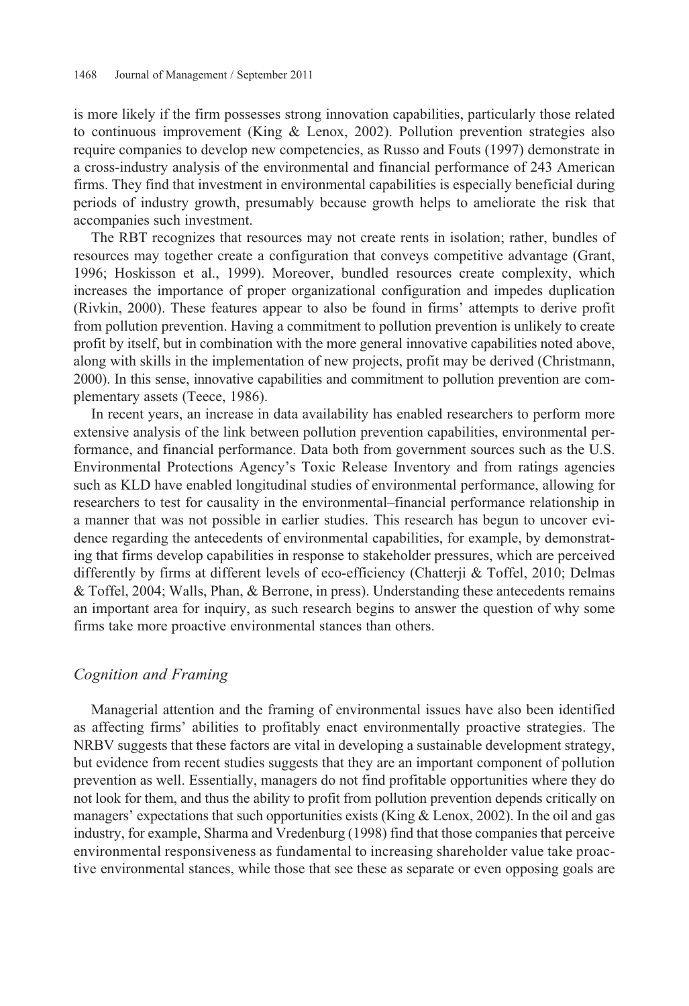is more likely if the firm possesses strong innovation capabilities, particularly those related to continuous improvement (King & Lenox, 2002). Pollution prevention strategies also require companies to develop new competencies, as Russo and Fouts (1997) demonstrate in a cross-industry analysis of the environmental and financial performance of 243 American firms. They find that investment in environmental capabilities is especially beneficial during periods of industry growth, presumably because growth helps to ameliorate the risk that accompanies such investment.

The RBT recognizes that resources may not create rents in isolation; rather, bundles of resources may together create a configuration that conveys competitive advantage (Grant, 1996; Hoskisson et al., 1999). Moreover, bundled resources create complexity, which increases the importance of proper organizational configuration and impedes duplication (Rivkin, 2000). These features appear to also be found in firms' attempts to derive profit from pollution prevention. Having a commitment to pollution prevention is unlikely to create profit by itself, but in combination with the more general innovative capabilities noted above, along with skills in the implementation of new projects, profit may be derived (Christmann, 2000). In this sense, innovative capabilities and commitment to pollution prevention are complementary assets (Teece, 1986).

In recent years, an increase in data availability has enabled researchers to perform more extensive analysis of the link between pollution prevention capabilities, environmental performance, and financial performance. Data both from government sources such as the U.S. Environmental Protections Agency's Toxic Release Inventory and from ratings agencies such as KLD have enabled longitudinal studies of environmental performance, allowing for researchers to test for causality in the environmental–financial performance relationship in a manner that was not possible in earlier studies. This research has begun to uncover evidence regarding the antecedents of environmental capabilities, for example, by demonstrating that firms develop capabilities in response to stakeholder pressures, which are perceived differently by firms at different levels of eco-efficiency (Chatterji & Toffel, 2010; Delmas & Toffel, 2004; Walls, Phan, & Berrone, in press). Understanding these antecedents remains an important area for inquiry, as such research begins to answer the question of why some firms take more proactive environmental stances than others.

#### *Cognition and Framing*

Managerial attention and the framing of environmental issues have also been identified as affecting firms' abilities to profitably enact environmentally proactive strategies. The NRBV suggests that these factors are vital in developing a sustainable development strategy, but evidence from recent studies suggests that they are an important component of pollution prevention as well. Essentially, managers do not find profitable opportunities where they do not look for them, and thus the ability to profit from pollution prevention depends critically on managers' expectations that such opportunities exists (King  $&$  Lenox, 2002). In the oil and gas industry, for example, Sharma and Vredenburg (1998) find that those companies that perceive environmental responsiveness as fundamental to increasing shareholder value take proactive environmental stances, while those that see these as separate or even opposing goals are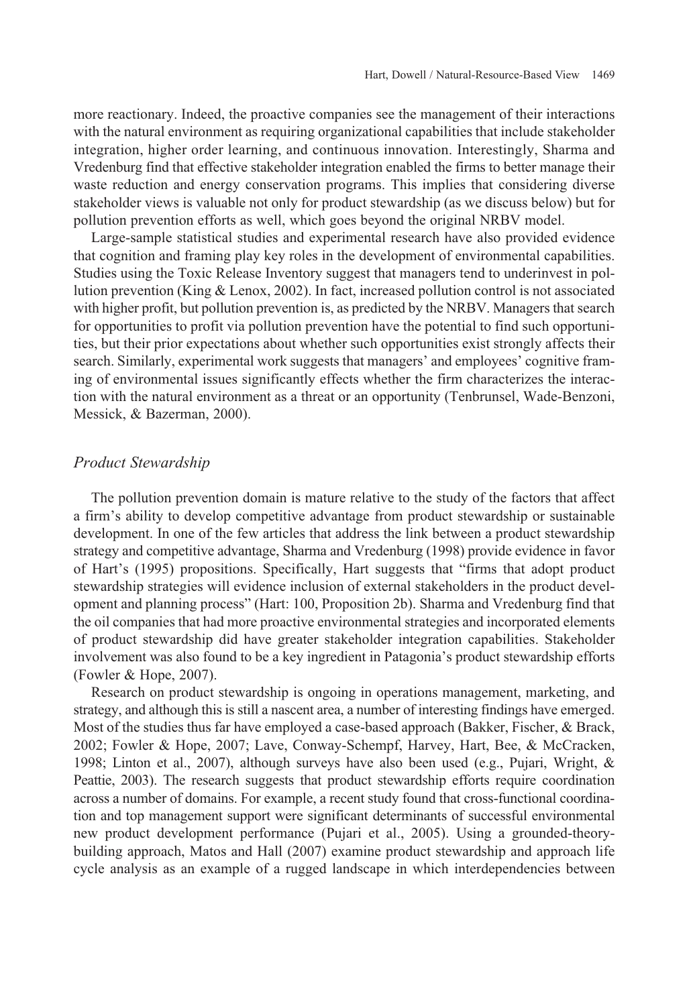more reactionary. Indeed, the proactive companies see the management of their interactions with the natural environment as requiring organizational capabilities that include stakeholder integration, higher order learning, and continuous innovation. Interestingly, Sharma and Vredenburg find that effective stakeholder integration enabled the firms to better manage their waste reduction and energy conservation programs. This implies that considering diverse stakeholder views is valuable not only for product stewardship (as we discuss below) but for pollution prevention efforts as well, which goes beyond the original NRBV model.

Large-sample statistical studies and experimental research have also provided evidence that cognition and framing play key roles in the development of environmental capabilities. Studies using the Toxic Release Inventory suggest that managers tend to underinvest in pollution prevention (King & Lenox, 2002). In fact, increased pollution control is not associated with higher profit, but pollution prevention is, as predicted by the NRBV. Managers that search for opportunities to profit via pollution prevention have the potential to find such opportunities, but their prior expectations about whether such opportunities exist strongly affects their search. Similarly, experimental work suggests that managers' and employees' cognitive framing of environmental issues significantly effects whether the firm characterizes the interaction with the natural environment as a threat or an opportunity (Tenbrunsel, Wade-Benzoni, Messick, & Bazerman, 2000).

#### *Product Stewardship*

The pollution prevention domain is mature relative to the study of the factors that affect a firm's ability to develop competitive advantage from product stewardship or sustainable development. In one of the few articles that address the link between a product stewardship strategy and competitive advantage, Sharma and Vredenburg (1998) provide evidence in favor of Hart's (1995) propositions. Specifically, Hart suggests that "firms that adopt product stewardship strategies will evidence inclusion of external stakeholders in the product development and planning process" (Hart: 100, Proposition 2b). Sharma and Vredenburg find that the oil companies that had more proactive environmental strategies and incorporated elements of product stewardship did have greater stakeholder integration capabilities. Stakeholder involvement was also found to be a key ingredient in Patagonia's product stewardship efforts (Fowler & Hope, 2007).

Research on product stewardship is ongoing in operations management, marketing, and strategy, and although this is still a nascent area, a number of interesting findings have emerged. Most of the studies thus far have employed a case-based approach (Bakker, Fischer, & Brack, 2002; Fowler & Hope, 2007; Lave, Conway-Schempf, Harvey, Hart, Bee, & McCracken, 1998; Linton et al., 2007), although surveys have also been used (e.g., Pujari, Wright, & Peattie, 2003). The research suggests that product stewardship efforts require coordination across a number of domains. For example, a recent study found that cross-functional coordination and top management support were significant determinants of successful environmental new product development performance (Pujari et al., 2005). Using a grounded-theorybuilding approach, Matos and Hall (2007) examine product stewardship and approach life cycle analysis as an example of a rugged landscape in which interdependencies between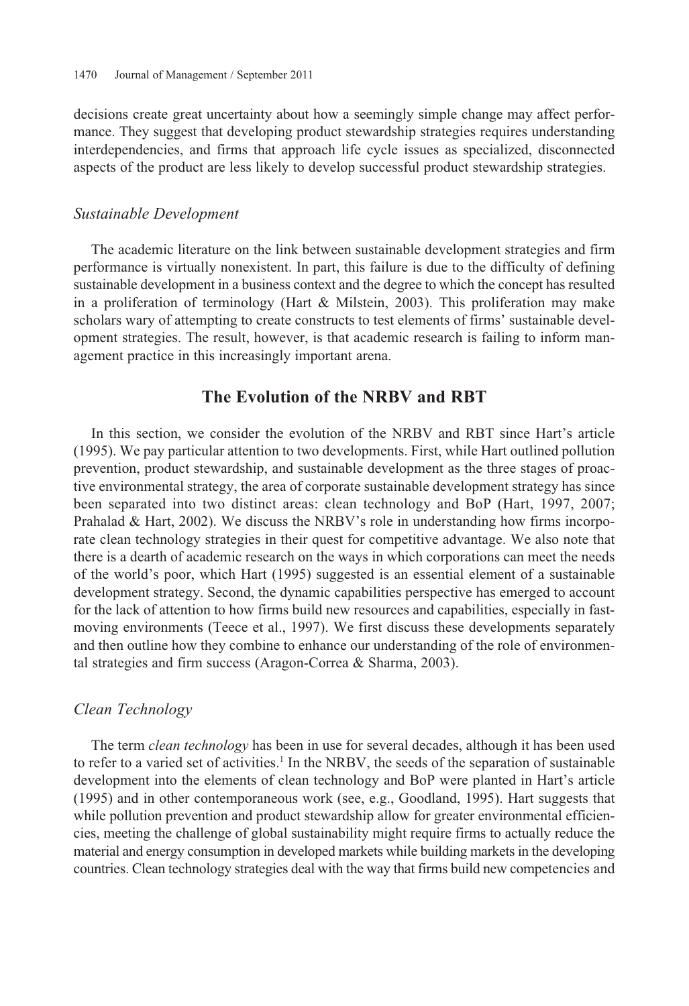decisions create great uncertainty about how a seemingly simple change may affect performance. They suggest that developing product stewardship strategies requires understanding interdependencies, and firms that approach life cycle issues as specialized, disconnected aspects of the product are less likely to develop successful product stewardship strategies.

#### *Sustainable Development*

The academic literature on the link between sustainable development strategies and firm performance is virtually nonexistent. In part, this failure is due to the difficulty of defining sustainable development in a business context and the degree to which the concept has resulted in a proliferation of terminology (Hart & Milstein, 2003). This proliferation may make scholars wary of attempting to create constructs to test elements of firms' sustainable development strategies. The result, however, is that academic research is failing to inform management practice in this increasingly important arena.

#### **The Evolution of the NRBV and RBT**

In this section, we consider the evolution of the NRBV and RBT since Hart's article (1995). We pay particular attention to two developments. First, while Hart outlined pollution prevention, product stewardship, and sustainable development as the three stages of proactive environmental strategy, the area of corporate sustainable development strategy has since been separated into two distinct areas: clean technology and BoP (Hart, 1997, 2007; Prahalad  $\&$  Hart, 2002). We discuss the NRBV's role in understanding how firms incorporate clean technology strategies in their quest for competitive advantage. We also note that there is a dearth of academic research on the ways in which corporations can meet the needs of the world's poor, which Hart (1995) suggested is an essential element of a sustainable development strategy. Second, the dynamic capabilities perspective has emerged to account for the lack of attention to how firms build new resources and capabilities, especially in fastmoving environments (Teece et al., 1997). We first discuss these developments separately and then outline how they combine to enhance our understanding of the role of environmental strategies and firm success (Aragon-Correa & Sharma, 2003).

#### *Clean Technology*

The term *clean technology* has been in use for several decades, although it has been used to refer to a varied set of activities.<sup>1</sup> In the NRBV, the seeds of the separation of sustainable development into the elements of clean technology and BoP were planted in Hart's article (1995) and in other contemporaneous work (see, e.g., Goodland, 1995). Hart suggests that while pollution prevention and product stewardship allow for greater environmental efficiencies, meeting the challenge of global sustainability might require firms to actually reduce the material and energy consumption in developed markets while building markets in the developing countries. Clean technology strategies deal with the way that firms build new competencies and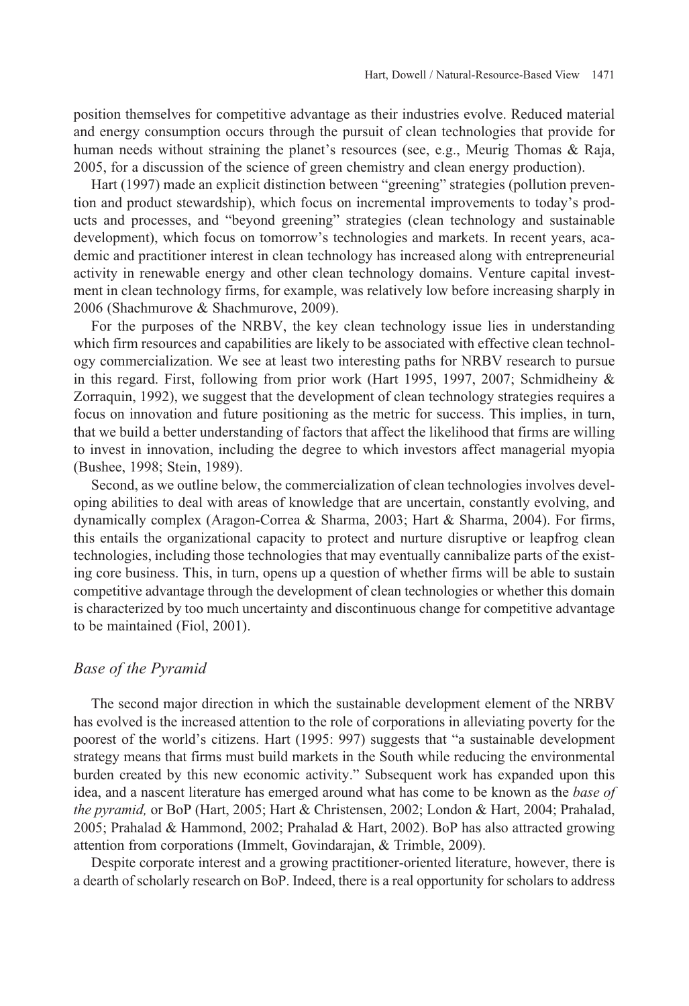position themselves for competitive advantage as their industries evolve. Reduced material and energy consumption occurs through the pursuit of clean technologies that provide for human needs without straining the planet's resources (see, e.g., Meurig Thomas & Raja, 2005, for a discussion of the science of green chemistry and clean energy production).

Hart (1997) made an explicit distinction between "greening" strategies (pollution prevention and product stewardship), which focus on incremental improvements to today's products and processes, and "beyond greening" strategies (clean technology and sustainable development), which focus on tomorrow's technologies and markets. In recent years, academic and practitioner interest in clean technology has increased along with entrepreneurial activity in renewable energy and other clean technology domains. Venture capital investment in clean technology firms, for example, was relatively low before increasing sharply in 2006 (Shachmurove & Shachmurove, 2009).

For the purposes of the NRBV, the key clean technology issue lies in understanding which firm resources and capabilities are likely to be associated with effective clean technology commercialization. We see at least two interesting paths for NRBV research to pursue in this regard. First, following from prior work (Hart 1995, 1997, 2007; Schmidheiny & Zorraquin, 1992), we suggest that the development of clean technology strategies requires a focus on innovation and future positioning as the metric for success. This implies, in turn, that we build a better understanding of factors that affect the likelihood that firms are willing to invest in innovation, including the degree to which investors affect managerial myopia (Bushee, 1998; Stein, 1989).

Second, as we outline below, the commercialization of clean technologies involves developing abilities to deal with areas of knowledge that are uncertain, constantly evolving, and dynamically complex (Aragon-Correa & Sharma, 2003; Hart & Sharma, 2004). For firms, this entails the organizational capacity to protect and nurture disruptive or leapfrog clean technologies, including those technologies that may eventually cannibalize parts of the existing core business. This, in turn, opens up a question of whether firms will be able to sustain competitive advantage through the development of clean technologies or whether this domain is characterized by too much uncertainty and discontinuous change for competitive advantage to be maintained (Fiol, 2001).

#### *Base of the Pyramid*

The second major direction in which the sustainable development element of the NRBV has evolved is the increased attention to the role of corporations in alleviating poverty for the poorest of the world's citizens. Hart (1995: 997) suggests that "a sustainable development strategy means that firms must build markets in the South while reducing the environmental burden created by this new economic activity." Subsequent work has expanded upon this idea, and a nascent literature has emerged around what has come to be known as the *base of the pyramid,* or BoP (Hart, 2005; Hart & Christensen, 2002; London & Hart, 2004; Prahalad, 2005; Prahalad & Hammond, 2002; Prahalad & Hart, 2002). BoP has also attracted growing attention from corporations (Immelt, Govindarajan, & Trimble, 2009).

Despite corporate interest and a growing practitioner-oriented literature, however, there is a dearth of scholarly research on BoP. Indeed, there is a real opportunity for scholars to address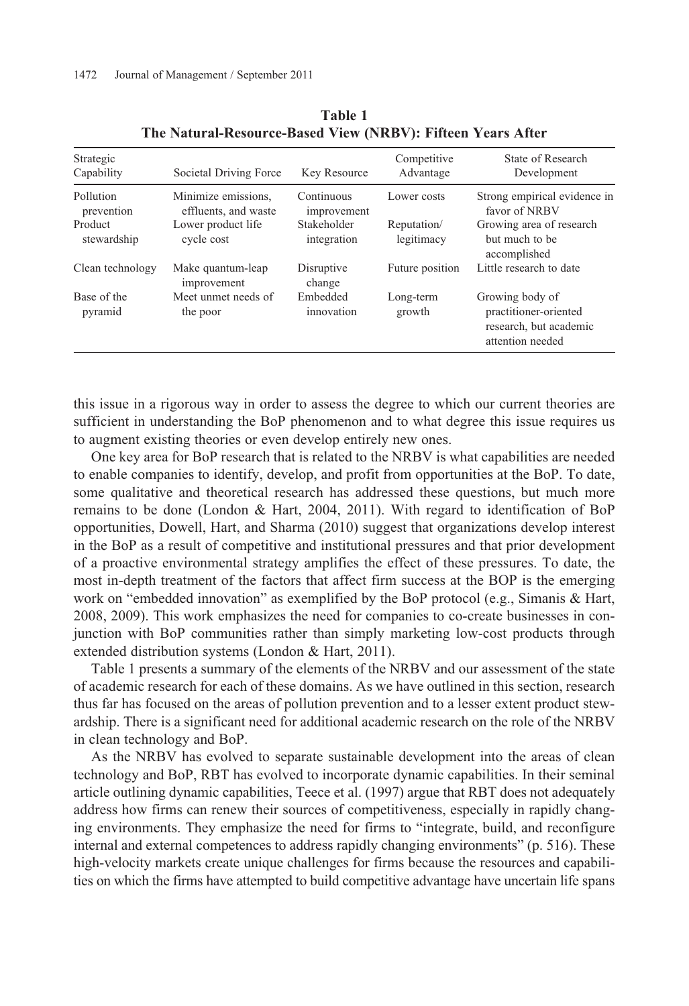| Strategic<br>Capability | Societal Driving Force                      | Key Resource               | Competitive<br>Advantage  | State of Research<br>Development                                                       |
|-------------------------|---------------------------------------------|----------------------------|---------------------------|----------------------------------------------------------------------------------------|
| Pollution<br>prevention | Minimize emissions,<br>effluents, and waste | Continuous<br>improvement  | Lower costs               | Strong empirical evidence in<br>favor of NRBV                                          |
| Product<br>stewardship  | Lower product life<br>cycle cost            | Stakeholder<br>integration | Reputation/<br>legitimacy | Growing area of research<br>but much to be<br>accomplished                             |
| Clean technology        | Make quantum-leap<br>improvement            | Disruptive<br>change       | Future position           | Little research to date                                                                |
| Base of the<br>pyramid  | Meet unmet needs of<br>the poor             | Embedded<br>innovation     | Long-term<br>growth       | Growing body of<br>practitioner-oriented<br>research, but academic<br>attention needed |

**Table 1 The Natural-Resource-Based View (NRBV): Fifteen Years After**

this issue in a rigorous way in order to assess the degree to which our current theories are sufficient in understanding the BoP phenomenon and to what degree this issue requires us to augment existing theories or even develop entirely new ones.

One key area for BoP research that is related to the NRBV is what capabilities are needed to enable companies to identify, develop, and profit from opportunities at the BoP. To date, some qualitative and theoretical research has addressed these questions, but much more remains to be done (London & Hart, 2004, 2011). With regard to identification of BoP opportunities, Dowell, Hart, and Sharma (2010) suggest that organizations develop interest in the BoP as a result of competitive and institutional pressures and that prior development of a proactive environmental strategy amplifies the effect of these pressures. To date, the most in-depth treatment of the factors that affect firm success at the BOP is the emerging work on "embedded innovation" as exemplified by the BoP protocol (e.g., Simanis & Hart, 2008, 2009). This work emphasizes the need for companies to co-create businesses in conjunction with BoP communities rather than simply marketing low-cost products through extended distribution systems (London & Hart, 2011).

Table 1 presents a summary of the elements of the NRBV and our assessment of the state of academic research for each of these domains. As we have outlined in this section, research thus far has focused on the areas of pollution prevention and to a lesser extent product stewardship. There is a significant need for additional academic research on the role of the NRBV in clean technology and BoP.

As the NRBV has evolved to separate sustainable development into the areas of clean technology and BoP, RBT has evolved to incorporate dynamic capabilities. In their seminal article outlining dynamic capabilities, Teece et al. (1997) argue that RBT does not adequately address how firms can renew their sources of competitiveness, especially in rapidly changing environments. They emphasize the need for firms to "integrate, build, and reconfigure internal and external competences to address rapidly changing environments" (p. 516). These high-velocity markets create unique challenges for firms because the resources and capabilities on which the firms have attempted to build competitive advantage have uncertain life spans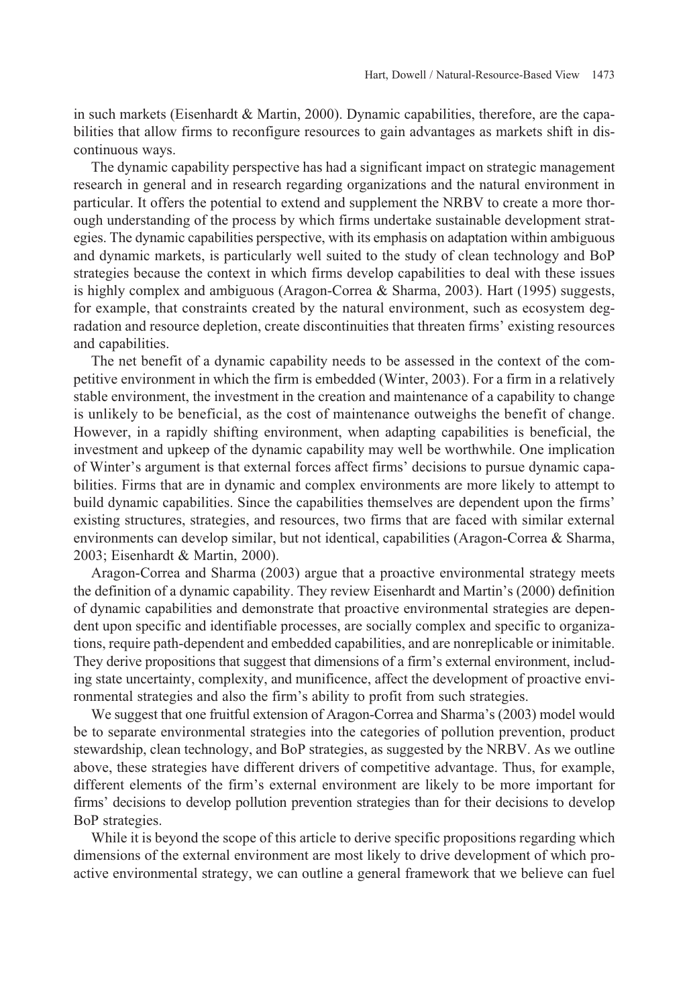in such markets (Eisenhardt & Martin, 2000). Dynamic capabilities, therefore, are the capabilities that allow firms to reconfigure resources to gain advantages as markets shift in discontinuous ways.

The dynamic capability perspective has had a significant impact on strategic management research in general and in research regarding organizations and the natural environment in particular. It offers the potential to extend and supplement the NRBV to create a more thorough understanding of the process by which firms undertake sustainable development strategies. The dynamic capabilities perspective, with its emphasis on adaptation within ambiguous and dynamic markets, is particularly well suited to the study of clean technology and BoP strategies because the context in which firms develop capabilities to deal with these issues is highly complex and ambiguous (Aragon-Correa & Sharma, 2003). Hart (1995) suggests, for example, that constraints created by the natural environment, such as ecosystem degradation and resource depletion, create discontinuities that threaten firms' existing resources and capabilities.

The net benefit of a dynamic capability needs to be assessed in the context of the competitive environment in which the firm is embedded (Winter, 2003). For a firm in a relatively stable environment, the investment in the creation and maintenance of a capability to change is unlikely to be beneficial, as the cost of maintenance outweighs the benefit of change. However, in a rapidly shifting environment, when adapting capabilities is beneficial, the investment and upkeep of the dynamic capability may well be worthwhile. One implication of Winter's argument is that external forces affect firms' decisions to pursue dynamic capabilities. Firms that are in dynamic and complex environments are more likely to attempt to build dynamic capabilities. Since the capabilities themselves are dependent upon the firms' existing structures, strategies, and resources, two firms that are faced with similar external environments can develop similar, but not identical, capabilities (Aragon-Correa & Sharma, 2003; Eisenhardt & Martin, 2000).

Aragon-Correa and Sharma (2003) argue that a proactive environmental strategy meets the definition of a dynamic capability. They review Eisenhardt and Martin's (2000) definition of dynamic capabilities and demonstrate that proactive environmental strategies are dependent upon specific and identifiable processes, are socially complex and specific to organizations, require path-dependent and embedded capabilities, and are nonreplicable or inimitable. They derive propositions that suggest that dimensions of a firm's external environment, including state uncertainty, complexity, and munificence, affect the development of proactive environmental strategies and also the firm's ability to profit from such strategies.

We suggest that one fruitful extension of Aragon-Correa and Sharma's (2003) model would be to separate environmental strategies into the categories of pollution prevention, product stewardship, clean technology, and BoP strategies, as suggested by the NRBV. As we outline above, these strategies have different drivers of competitive advantage. Thus, for example, different elements of the firm's external environment are likely to be more important for firms' decisions to develop pollution prevention strategies than for their decisions to develop BoP strategies.

While it is beyond the scope of this article to derive specific propositions regarding which dimensions of the external environment are most likely to drive development of which proactive environmental strategy, we can outline a general framework that we believe can fuel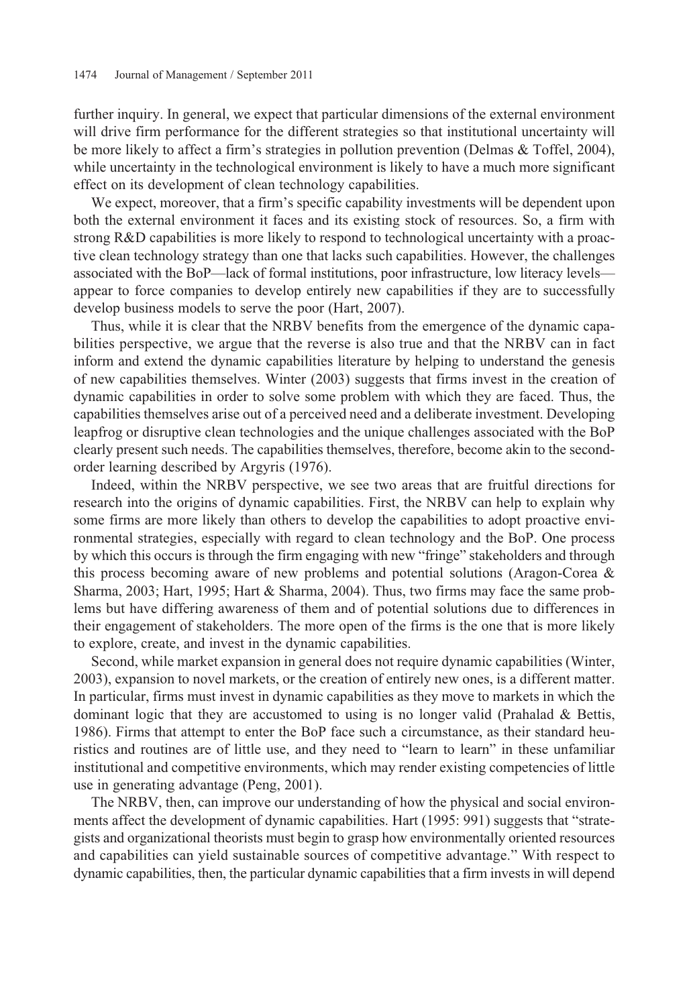further inquiry. In general, we expect that particular dimensions of the external environment will drive firm performance for the different strategies so that institutional uncertainty will be more likely to affect a firm's strategies in pollution prevention (Delmas & Toffel, 2004), while uncertainty in the technological environment is likely to have a much more significant effect on its development of clean technology capabilities.

We expect, moreover, that a firm's specific capability investments will be dependent upon both the external environment it faces and its existing stock of resources. So, a firm with strong R&D capabilities is more likely to respond to technological uncertainty with a proactive clean technology strategy than one that lacks such capabilities. However, the challenges associated with the BoP—lack of formal institutions, poor infrastructure, low literacy levels appear to force companies to develop entirely new capabilities if they are to successfully develop business models to serve the poor (Hart, 2007).

Thus, while it is clear that the NRBV benefits from the emergence of the dynamic capabilities perspective, we argue that the reverse is also true and that the NRBV can in fact inform and extend the dynamic capabilities literature by helping to understand the genesis of new capabilities themselves. Winter (2003) suggests that firms invest in the creation of dynamic capabilities in order to solve some problem with which they are faced. Thus, the capabilities themselves arise out of a perceived need and a deliberate investment. Developing leapfrog or disruptive clean technologies and the unique challenges associated with the BoP clearly present such needs. The capabilities themselves, therefore, become akin to the secondorder learning described by Argyris (1976).

Indeed, within the NRBV perspective, we see two areas that are fruitful directions for research into the origins of dynamic capabilities. First, the NRBV can help to explain why some firms are more likely than others to develop the capabilities to adopt proactive environmental strategies, especially with regard to clean technology and the BoP. One process by which this occurs is through the firm engaging with new "fringe" stakeholders and through this process becoming aware of new problems and potential solutions (Aragon-Corea & Sharma, 2003; Hart, 1995; Hart & Sharma, 2004). Thus, two firms may face the same problems but have differing awareness of them and of potential solutions due to differences in their engagement of stakeholders. The more open of the firms is the one that is more likely to explore, create, and invest in the dynamic capabilities.

Second, while market expansion in general does not require dynamic capabilities (Winter, 2003), expansion to novel markets, or the creation of entirely new ones, is a different matter. In particular, firms must invest in dynamic capabilities as they move to markets in which the dominant logic that they are accustomed to using is no longer valid (Prahalad  $\&$  Bettis, 1986). Firms that attempt to enter the BoP face such a circumstance, as their standard heuristics and routines are of little use, and they need to "learn to learn" in these unfamiliar institutional and competitive environments, which may render existing competencies of little use in generating advantage (Peng, 2001).

The NRBV, then, can improve our understanding of how the physical and social environments affect the development of dynamic capabilities. Hart (1995: 991) suggests that "strategists and organizational theorists must begin to grasp how environmentally oriented resources and capabilities can yield sustainable sources of competitive advantage." With respect to dynamic capabilities, then, the particular dynamic capabilities that a firm invests in will depend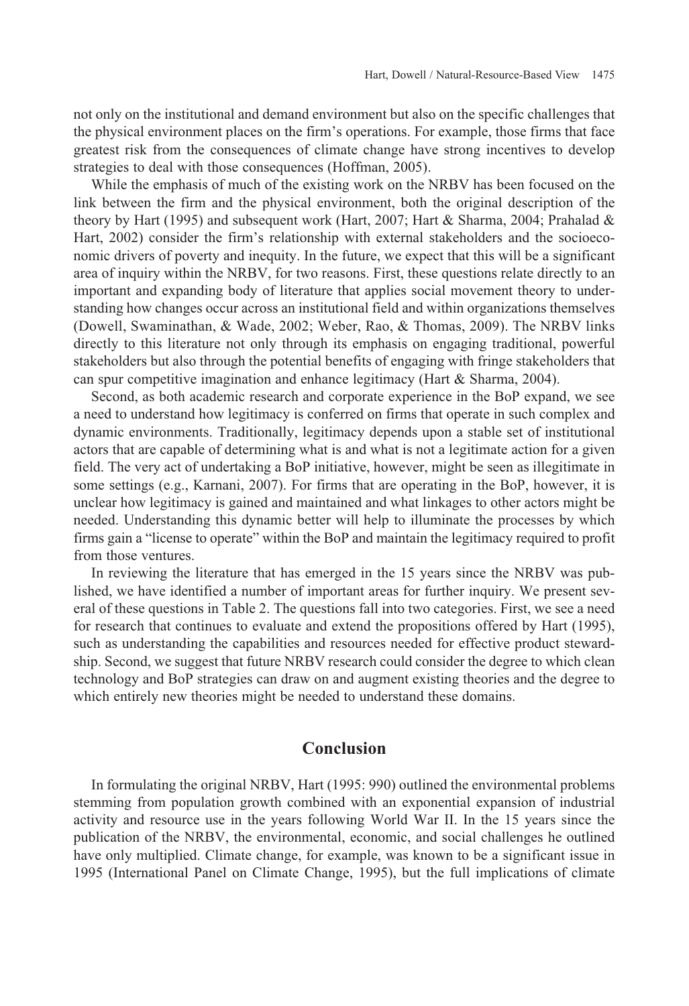not only on the institutional and demand environment but also on the specific challenges that the physical environment places on the firm's operations. For example, those firms that face greatest risk from the consequences of climate change have strong incentives to develop strategies to deal with those consequences (Hoffman, 2005).

While the emphasis of much of the existing work on the NRBV has been focused on the link between the firm and the physical environment, both the original description of the theory by Hart (1995) and subsequent work (Hart, 2007; Hart & Sharma, 2004; Prahalad & Hart, 2002) consider the firm's relationship with external stakeholders and the socioeconomic drivers of poverty and inequity. In the future, we expect that this will be a significant area of inquiry within the NRBV, for two reasons. First, these questions relate directly to an important and expanding body of literature that applies social movement theory to understanding how changes occur across an institutional field and within organizations themselves (Dowell, Swaminathan, & Wade, 2002; Weber, Rao, & Thomas, 2009). The NRBV links directly to this literature not only through its emphasis on engaging traditional, powerful stakeholders but also through the potential benefits of engaging with fringe stakeholders that can spur competitive imagination and enhance legitimacy (Hart & Sharma, 2004).

Second, as both academic research and corporate experience in the BoP expand, we see a need to understand how legitimacy is conferred on firms that operate in such complex and dynamic environments. Traditionally, legitimacy depends upon a stable set of institutional actors that are capable of determining what is and what is not a legitimate action for a given field. The very act of undertaking a BoP initiative, however, might be seen as illegitimate in some settings (e.g., Karnani, 2007). For firms that are operating in the BoP, however, it is unclear how legitimacy is gained and maintained and what linkages to other actors might be needed. Understanding this dynamic better will help to illuminate the processes by which firms gain a "license to operate" within the BoP and maintain the legitimacy required to profit from those ventures.

In reviewing the literature that has emerged in the 15 years since the NRBV was published, we have identified a number of important areas for further inquiry. We present several of these questions in Table 2. The questions fall into two categories. First, we see a need for research that continues to evaluate and extend the propositions offered by Hart (1995), such as understanding the capabilities and resources needed for effective product stewardship. Second, we suggest that future NRBV research could consider the degree to which clean technology and BoP strategies can draw on and augment existing theories and the degree to which entirely new theories might be needed to understand these domains.

#### **Conclusion**

In formulating the original NRBV, Hart (1995: 990) outlined the environmental problems stemming from population growth combined with an exponential expansion of industrial activity and resource use in the years following World War II. In the 15 years since the publication of the NRBV, the environmental, economic, and social challenges he outlined have only multiplied. Climate change, for example, was known to be a significant issue in 1995 (International Panel on Climate Change, 1995), but the full implications of climate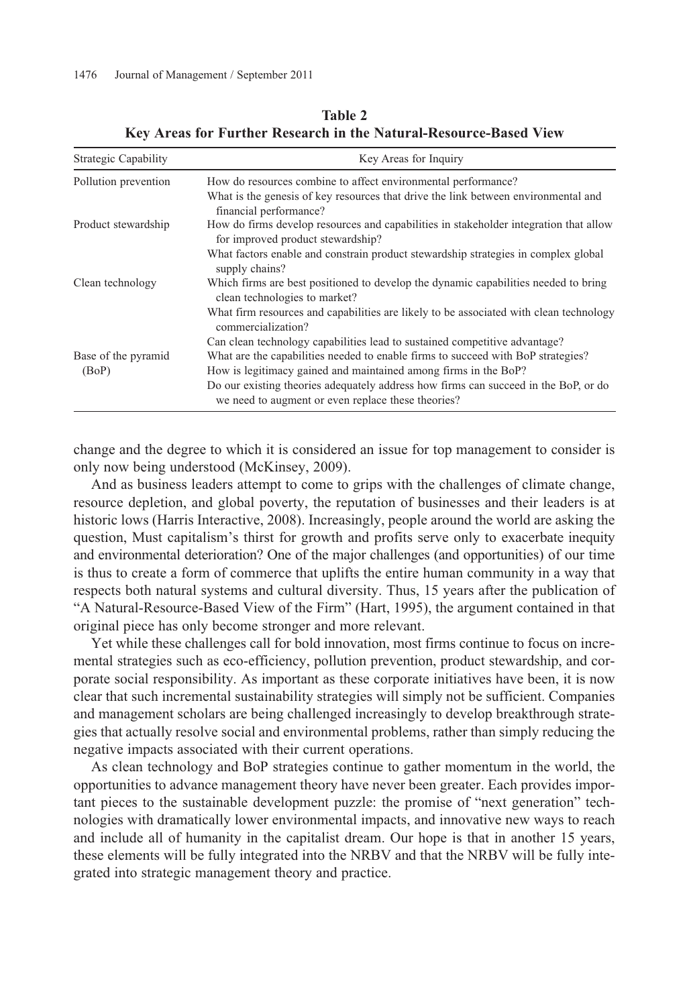| Strategic Capability | Key Areas for Inquiry                                                                                                                     |  |  |  |
|----------------------|-------------------------------------------------------------------------------------------------------------------------------------------|--|--|--|
| Pollution prevention | How do resources combine to affect environmental performance?                                                                             |  |  |  |
|                      | What is the genesis of key resources that drive the link between environmental and<br>financial performance?                              |  |  |  |
| Product stewardship  | How do firms develop resources and capabilities in stakeholder integration that allow<br>for improved product stewardship?                |  |  |  |
|                      | What factors enable and constrain product stewardship strategies in complex global<br>supply chains?                                      |  |  |  |
| Clean technology     | Which firms are best positioned to develop the dynamic capabilities needed to bring<br>clean technologies to market?                      |  |  |  |
|                      | What firm resources and capabilities are likely to be associated with clean technology<br>commercialization?                              |  |  |  |
|                      | Can clean technology capabilities lead to sustained competitive advantage?                                                                |  |  |  |
| Base of the pyramid  | What are the capabilities needed to enable firms to succeed with BoP strategies?                                                          |  |  |  |
| (BoP)                | How is legitimacy gained and maintained among firms in the BoP?                                                                           |  |  |  |
|                      | Do our existing theories adequately address how firms can succeed in the BoP, or do<br>we need to augment or even replace these theories? |  |  |  |

**Table 2 Key Areas for Further Research in the Natural-Resource-Based View**

change and the degree to which it is considered an issue for top management to consider is only now being understood (McKinsey, 2009).

And as business leaders attempt to come to grips with the challenges of climate change, resource depletion, and global poverty, the reputation of businesses and their leaders is at historic lows (Harris Interactive, 2008). Increasingly, people around the world are asking the question, Must capitalism's thirst for growth and profits serve only to exacerbate inequity and environmental deterioration? One of the major challenges (and opportunities) of our time is thus to create a form of commerce that uplifts the entire human community in a way that respects both natural systems and cultural diversity. Thus, 15 years after the publication of "A Natural-Resource-Based View of the Firm" (Hart, 1995), the argument contained in that original piece has only become stronger and more relevant.

Yet while these challenges call for bold innovation, most firms continue to focus on incremental strategies such as eco-efficiency, pollution prevention, product stewardship, and corporate social responsibility. As important as these corporate initiatives have been, it is now clear that such incremental sustainability strategies will simply not be sufficient. Companies and management scholars are being challenged increasingly to develop breakthrough strategies that actually resolve social and environmental problems, rather than simply reducing the negative impacts associated with their current operations.

As clean technology and BoP strategies continue to gather momentum in the world, the opportunities to advance management theory have never been greater. Each provides important pieces to the sustainable development puzzle: the promise of "next generation" technologies with dramatically lower environmental impacts, and innovative new ways to reach and include all of humanity in the capitalist dream. Our hope is that in another 15 years, these elements will be fully integrated into the NRBV and that the NRBV will be fully integrated into strategic management theory and practice.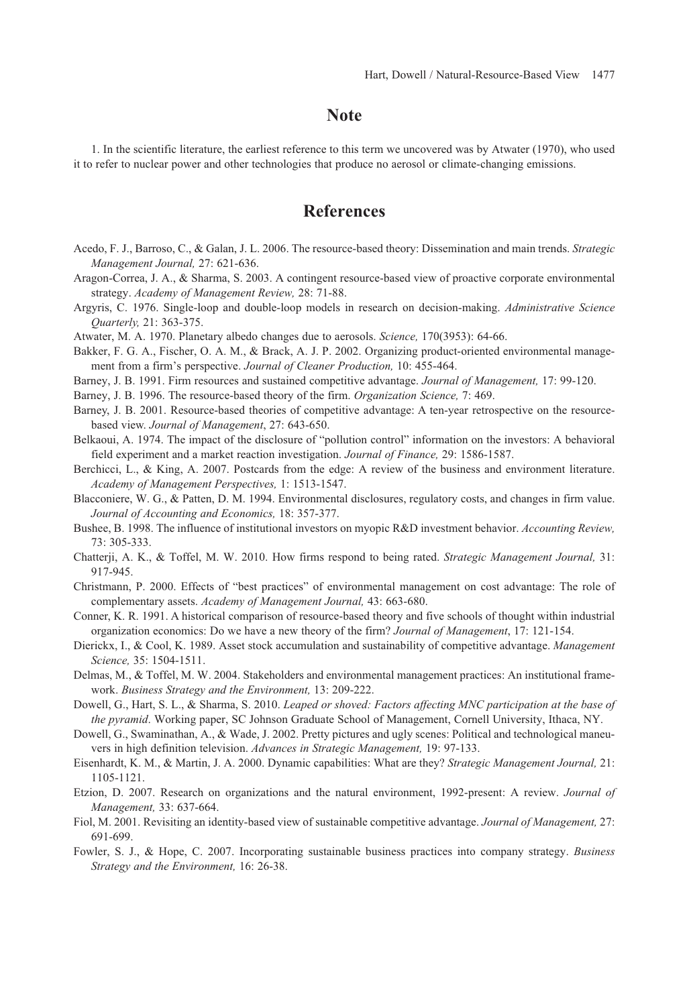#### **Note**

1. In the scientific literature, the earliest reference to this term we uncovered was by Atwater (1970), who used it to refer to nuclear power and other technologies that produce no aerosol or climate-changing emissions.

### **References**

- Acedo, F. J., Barroso, C., & Galan, J. L. 2006. The resource-based theory: Dissemination and main trends. *Strategic Management Journal,* 27: 621-636.
- Aragon-Correa, J. A., & Sharma, S. 2003. A contingent resource-based view of proactive corporate environmental strategy. *Academy of Management Review,* 28: 71-88.
- Argyris, C. 1976. Single-loop and double-loop models in research on decision-making. *Administrative Science Quarterly,* 21: 363-375.
- Atwater, M. A. 1970. Planetary albedo changes due to aerosols. *Science,* 170(3953): 64-66.
- Bakker, F. G. A., Fischer, O. A. M., & Brack, A. J. P. 2002. Organizing product-oriented environmental management from a firm's perspective. *Journal of Cleaner Production,* 10: 455-464.
- Barney, J. B. 1991. Firm resources and sustained competitive advantage. *Journal of Management,* 17: 99-120.
- Barney, J. B. 1996. The resource-based theory of the firm. *Organization Science,* 7: 469.
- Barney, J. B. 2001. Resource-based theories of competitive advantage: A ten-year retrospective on the resourcebased view. *Journal of Management*, 27: 643-650.
- Belkaoui, A. 1974. The impact of the disclosure of "pollution control" information on the investors: A behavioral field experiment and a market reaction investigation. *Journal of Finance,* 29: 1586-1587.
- Berchicci, L., & King, A. 2007. Postcards from the edge: A review of the business and environment literature. *Academy of Management Perspectives,* 1: 1513-1547.
- Blacconiere, W. G., & Patten, D. M. 1994. Environmental disclosures, regulatory costs, and changes in firm value. *Journal of Accounting and Economics,* 18: 357-377.
- Bushee, B. 1998. The influence of institutional investors on myopic R&D investment behavior. *Accounting Review,* 73: 305-333.
- Chatterji, A. K., & Toffel, M. W. 2010. How firms respond to being rated. *Strategic Management Journal,* 31: 917-945.
- Christmann, P. 2000. Effects of "best practices" of environmental management on cost advantage: The role of complementary assets. *Academy of Management Journal,* 43: 663-680.
- Conner, K. R. 1991. A historical comparison of resource-based theory and five schools of thought within industrial organization economics: Do we have a new theory of the firm? *Journal of Management*, 17: 121-154.
- Dierickx, I., & Cool, K. 1989. Asset stock accumulation and sustainability of competitive advantage. *Management Science,* 35: 1504-1511.
- Delmas, M., & Toffel, M. W. 2004. Stakeholders and environmental management practices: An institutional framework. *Business Strategy and the Environment,* 13: 209-222.
- Dowell, G., Hart, S. L., & Sharma, S. 2010. *Leaped or shoved: Factors affecting MNC participation at the base of the pyramid*. Working paper, SC Johnson Graduate School of Management, Cornell University, Ithaca, NY.
- Dowell, G., Swaminathan, A., & Wade, J. 2002. Pretty pictures and ugly scenes: Political and technological maneuvers in high definition television. *Advances in Strategic Management,* 19: 97-133.
- Eisenhardt, K. M., & Martin, J. A. 2000. Dynamic capabilities: What are they? *Strategic Management Journal,* 21: 1105-1121.
- Etzion, D. 2007. Research on organizations and the natural environment, 1992-present: A review. *Journal of Management,* 33: 637-664.
- Fiol, M. 2001. Revisiting an identity-based view of sustainable competitive advantage. *Journal of Management,* 27: 691-699.
- Fowler, S. J., & Hope, C. 2007. Incorporating sustainable business practices into company strategy. *Business Strategy and the Environment,* 16: 26-38.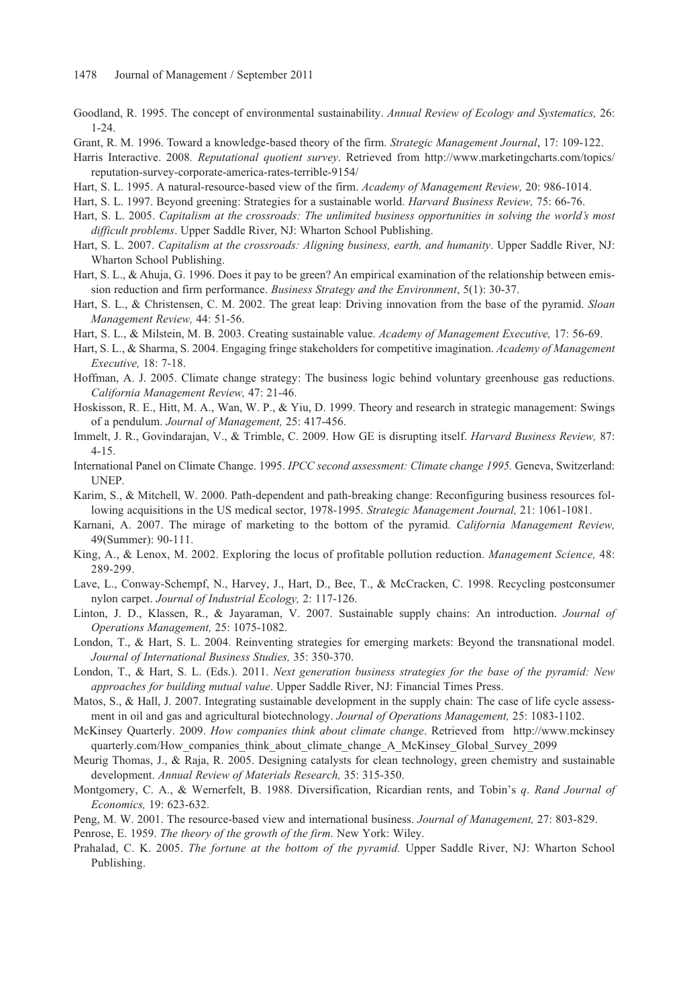Goodland, R. 1995. The concept of environmental sustainability. *Annual Review of Ecology and Systematics,* 26: 1-24.

Grant, R. M. 1996. Toward a knowledge-based theory of the firm. *Strategic Management Journal*, 17: 109-122.

- Harris Interactive. 2008*. Reputational quotient survey*. Retrieved from http://www.marketingcharts.com/topics/ reputation-survey-corporate-america-rates-terrible-9154/
- Hart, S. L. 1995. A natural-resource-based view of the firm. *Academy of Management Review,* 20: 986-1014.
- Hart, S. L. 1997. Beyond greening: Strategies for a sustainable world. *Harvard Business Review,* 75: 66-76.
- Hart, S. L. 2005. *Capitalism at the crossroads: The unlimited business opportunities in solving the world's most difficult problems*. Upper Saddle River, NJ: Wharton School Publishing.
- Hart, S. L. 2007. *Capitalism at the crossroads: Aligning business, earth, and humanity*. Upper Saddle River, NJ: Wharton School Publishing.
- Hart, S. L., & Ahuja, G. 1996. Does it pay to be green? An empirical examination of the relationship between emission reduction and firm performance. *Business Strategy and the Environment*, 5(1): 30-37.
- Hart, S. L., & Christensen, C. M. 2002. The great leap: Driving innovation from the base of the pyramid. *Sloan Management Review,* 44: 51-56.
- Hart, S. L., & Milstein, M. B. 2003. Creating sustainable value. *Academy of Management Executive,* 17: 56-69.
- Hart, S. L., & Sharma, S. 2004. Engaging fringe stakeholders for competitive imagination. *Academy of Management Executive,* 18: 7-18.
- Hoffman, A. J. 2005. Climate change strategy: The business logic behind voluntary greenhouse gas reductions. *California Management Review,* 47: 21-46.
- Hoskisson, R. E., Hitt, M. A., Wan, W. P., & Yiu, D. 1999. Theory and research in strategic management: Swings of a pendulum. *Journal of Management,* 25: 417-456.
- Immelt, J. R., Govindarajan, V., & Trimble, C. 2009. How GE is disrupting itself. *Harvard Business Review,* 87: 4-15.
- International Panel on Climate Change. 1995. *IPCC second assessment: Climate change 1995.* Geneva, Switzerland: UNEP.
- Karim, S., & Mitchell, W. 2000. Path-dependent and path-breaking change: Reconfiguring business resources following acquisitions in the US medical sector, 1978-1995. *Strategic Management Journal,* 21: 1061-1081.
- Karnani, A. 2007. The mirage of marketing to the bottom of the pyramid. *California Management Review,*  49(Summer): 90-111.
- King, A., & Lenox, M. 2002. Exploring the locus of profitable pollution reduction. *Management Science,* 48: 289-299.
- Lave, L., Conway-Schempf, N., Harvey, J., Hart, D., Bee, T., & McCracken, C. 1998. Recycling postconsumer nylon carpet. *Journal of Industrial Ecology,* 2: 117-126.
- Linton, J. D., Klassen, R., & Jayaraman, V. 2007. Sustainable supply chains: An introduction. *Journal of Operations Management,* 25: 1075-1082.
- London, T., & Hart, S. L. 2004. Reinventing strategies for emerging markets: Beyond the transnational model. *Journal of International Business Studies,* 35: 350-370.
- London, T., & Hart, S. L. (Eds.). 2011. *Next generation business strategies for the base of the pyramid: New approaches for building mutual value*. Upper Saddle River, NJ: Financial Times Press.
- Matos, S., & Hall, J. 2007. Integrating sustainable development in the supply chain: The case of life cycle assessment in oil and gas and agricultural biotechnology. *Journal of Operations Management,* 25: 1083-1102.
- McKinsey Quarterly. 2009. *How companies think about climate change*. Retrieved from http://www.mckinsey quarterly.com/How\_companies\_think\_about\_climate\_change\_A\_McKinsey\_Global\_Survey\_2099
- Meurig Thomas, J., & Raja, R. 2005. Designing catalysts for clean technology, green chemistry and sustainable development. *Annual Review of Materials Research,* 35: 315-350.
- Montgomery, C. A., & Wernerfelt, B. 1988. Diversification, Ricardian rents, and Tobin's *q*. *Rand Journal of Economics,* 19: 623-632.
- Peng, M. W. 2001. The resource-based view and international business. *Journal of Management,* 27: 803-829.

Penrose, E. 1959. *The theory of the growth of the firm*. New York: Wiley.

Prahalad, C. K. 2005. *The fortune at the bottom of the pyramid.* Upper Saddle River, NJ: Wharton School Publishing.